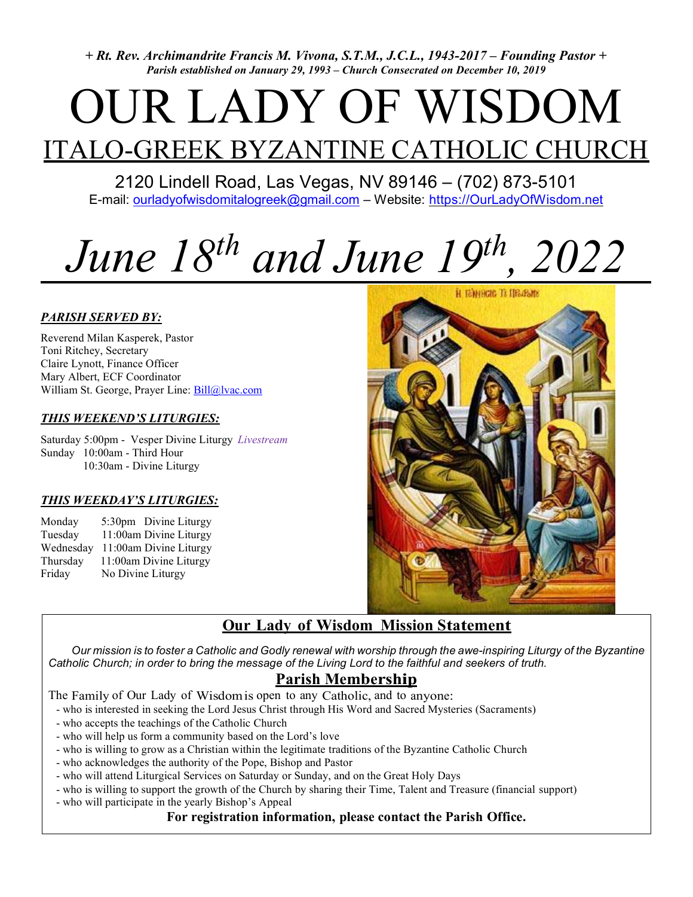+ Rt. Rev. Archimandrite Francis M. Vivona, S.T.M., J.C.L., 1943-2017 – Founding Pastor + Parish established on January 29, 1993 – Church Consecrated on December 10, 2019

# OUR LADY OF WISDOM ITALO-GREEK BYZANTINE CATHOLIC CHURCH

2120 Lindell Road, Las Vegas, NV 89146 – (702) 873-5101 E-mail: ourladyofwisdomitalogreek@gmail.com - Website: https://OurLadyOfWisdom.net

# June  $18^{th}$  and June  $19^{th}$ ,  $2022$

#### PARISH SERVED BY:

Reverend Milan Kasperek, Pastor Toni Ritchey, Secretary Claire Lynott, Finance Officer Mary Albert, ECF Coordinator William St. George, Prayer Line: Bill@lvac.com

#### THIS WEEKEND'S LITURGIES:

Saturday 5:00pm - Vesper Divine Liturgy Livestream Sunday 10:00am - Third Hour 10:30am - Divine Liturgy

#### THIS WEEKDAY'S LITURGIES:

Monday 5:30pm Divine Liturgy Tuesday 11:00am Divine Liturgy Wednesday 11:00am Divine Liturgy Thursday 11:00am Divine Liturgy Friday No Divine Liturgy





## Our Lady of Wisdom Mission Statement

 Our mission is to foster a Catholic and Godly renewal with worship through the awe-inspiring Liturgy of the Byzantine Catholic Church; in order to bring the message of the Living Lord to the faithful and seekers of truth.

### Parish Membership

The Family of Our Lady of Wisdom is open to any Catholic, and to anyone:

- who is interested in seeking the Lord Jesus Christ through His Word and Sacred Mysteries (Sacraments)
- who accepts the teachings of the Catholic Church
- who will help us form a community based on the Lord's love
- who is willing to grow as a Christian within the legitimate traditions of the Byzantine Catholic Church
- who acknowledges the authority of the Pope, Bishop and Pastor
- who will attend Liturgical Services on Saturday or Sunday, and on the Great Holy Days
- who is willing to support the growth of the Church by sharing their Time, Talent and Treasure (financial support)
- who will participate in the yearly Bishop's Appeal

#### For registration information, please contact the Parish Office.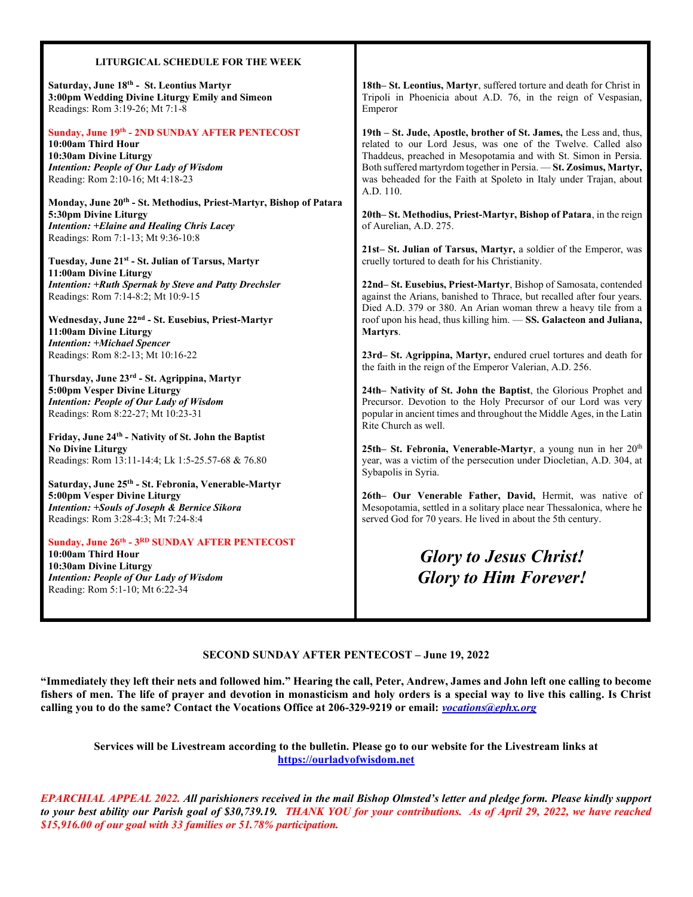#### LITURGICAL SCHEDULE FOR THE WEEK

Saturday, June 18<sup>th</sup> - St. Leontius Martyr 3:00pm Wedding Divine Liturgy Emily and Simeon Readings: Rom 3:19-26; Mt 7:1-8

#### Sunday, June 19th - 2ND SUNDAY AFTER PENTECOST

10:00am Third Hour 10:30am Divine Liturgy Intention: People of Our Lady of Wisdom Reading: Rom 2:10-16; Mt 4:18-23

Monday, June 20th - St. Methodius, Priest-Martyr, Bishop of Patara 5:30pm Divine Liturgy Intention: +Elaine and Healing Chris Lacey Readings: Rom 7:1-13; Mt 9:36-10:8

Tuesday, June 21st - St. Julian of Tarsus, Martyr 11:00am Divine Liturgy Intention: +Ruth Spernak by Steve and Patty Drechsler Readings: Rom 7:14-8:2; Mt 10:9-15

Wednesday, June 22nd - St. Eusebius, Priest-Martyr 11:00am Divine Liturgy Intention: +Michael Spencer Readings: Rom 8:2-13; Mt 10:16-22

Thursday, June 23rd - St. Agrippina, Martyr 5:00pm Vesper Divine Liturgy Intention: People of Our Lady of Wisdom Readings: Rom 8:22-27; Mt 10:23-31

Friday, June 24th - Nativity of St. John the Baptist No Divine Liturgy Readings: Rom 13:11-14:4; Lk 1:5-25.57-68 & 76.80

Saturday, June 25th - St. Febronia, Venerable-Martyr 5:00pm Vesper Divine Liturgy Intention: +Souls of Joseph & Bernice Sikora Readings: Rom 3:28-4:3; Mt 7:24-8:4

#### Sunday, June 26th - 3RD SUNDAY AFTER PENTECOST

10:00am Third Hour 10:30am Divine Liturgy Intention: People of Our Lady of Wisdom Reading: Rom 5:1-10; Mt 6:22-34

18th– St. Leontius, Martyr, suffered torture and death for Christ in Tripoli in Phoenicia about A.D. 76, in the reign of Vespasian, Emperor

19th – St. Jude, Apostle, brother of St. James, the Less and, thus, related to our Lord Jesus, was one of the Twelve. Called also Thaddeus, preached in Mesopotamia and with St. Simon in Persia. Both suffered martyrdom together in Persia. — St. Zosimus, Martyr, was beheaded for the Faith at Spoleto in Italy under Trajan, about A.D. 110.

20th– St. Methodius, Priest-Martyr, Bishop of Patara, in the reign of Aurelian, A.D. 275.

21st– St. Julian of Tarsus, Martyr, a soldier of the Emperor, was cruelly tortured to death for his Christianity.

22nd– St. Eusebius, Priest-Martyr, Bishop of Samosata, contended against the Arians, banished to Thrace, but recalled after four years. Died A.D. 379 or 380. An Arian woman threw a heavy tile from a roof upon his head, thus killing him. — SS. Galacteon and Juliana, Martyrs.

23rd– St. Agrippina, Martyr, endured cruel tortures and death for the faith in the reign of the Emperor Valerian, A.D. 256.

24th– Nativity of St. John the Baptist, the Glorious Prophet and Precursor. Devotion to the Holy Precursor of our Lord was very popular in ancient times and throughout the Middle Ages, in the Latin Rite Church as well.

25th– St. Febronia, Venerable-Martyr, a young nun in her  $20<sup>th</sup>$ year, was a victim of the persecution under Diocletian, A.D. 304, at Sybapolis in Syria.

26th– Our Venerable Father, David, Hermit, was native of Mesopotamia, settled in a solitary place near Thessalonica, where he served God for 70 years. He lived in about the 5th century.

> Glory to Jesus Christ! Glory to Him Forever!

#### SECOND SUNDAY AFTER PENTECOST – June 19, 2022

"Immediately they left their nets and followed him." Hearing the call, Peter, Andrew, James and John left one calling to become fishers of men. The life of prayer and devotion in monasticism and holy orders is a special way to live this calling. Is Christ calling you to do the same? Contact the Vocations Office at 206-329-9219 or email: *vocations@ephx.org* 

Services will be Livestream according to the bulletin. Please go to our website for the Livestream links at https://ourladyofwisdom.net

EPARCHIAL APPEAL 2022. All parishioners received in the mail Bishop Olmsted's letter and pledge form. Please kindly support to your best ability our Parish goal of \$30,739.19. THANK YOU for your contributions. As of April 29, 2022, we have reached \$15,916.00 of our goal with 33 families or 51.78% participation.